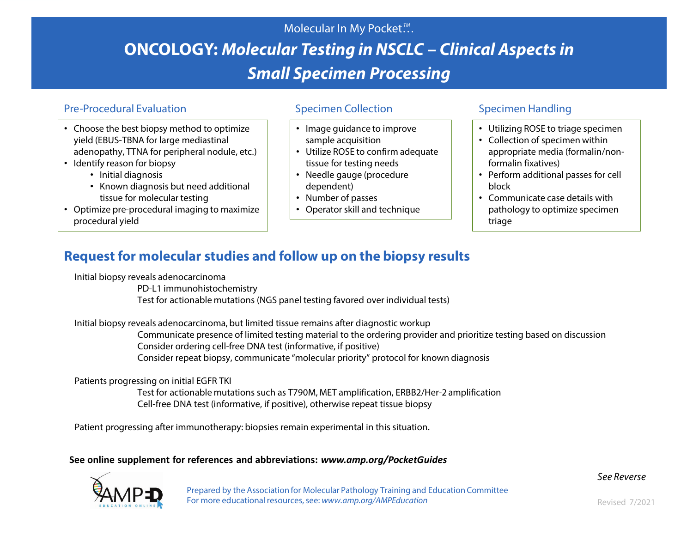# Molecular In My Pocket.". **ONCOLOGY:** *Molecular Testing in NSCLC – Clinical Aspects in Small Specimen Processing*

## Pre-Procedural Evaluation Specimen Collection Specimen Specimen Handling

- Choose the best biopsy method to optimize yield (EBUS-TBNA for large mediastinal adenopathy, TTNA for peripheral nodule, etc.)
- Identify reason for biopsy
	- Initial diagnosis
	- Known diagnosis but need additional tissue for molecular testing
- Optimize pre-procedural imaging to maximize procedural yield

- Image guidance to improve sample acquisition
- Utilize ROSE to confirm adequate tissue for testing needs
- Needle gauge (procedure dependent)
- Number of passes
- Operator skill and technique

- Utilizing ROSE to triage specimen
- Collection of specimen within appropriate media (formalin/nonformalin fixatives)
- Perform additional passes for cell block
- Communicate case details with pathology to optimize specimen triage

## **Request for molecular studies and follow up on the biopsy results**

Initial biopsy reveals adenocarcinoma

PD-L1 immunohistochemistry

Test for actionable mutations (NGS panel testing favored over individual tests)

Initial biopsy reveals adenocarcinoma, but limited tissue remains after diagnostic workup

Communicate presence of limited testing material to the ordering provider and prioritize testing based on discussion Consider ordering cell-free DNA test (informative, if positive) Consider repeat biopsy, communicate "molecular priority" protocol for known diagnosis

### Patients progressing on initial EGFR TKI

Test for actionable mutations such as T790M, MET amplification, ERBB2/Her-2 amplification Cell-free DNA test (informative, if positive), otherwise repeat tissue biopsy

Patient progressing after immunotherapy: biopsies remain experimental in this situation.

**See online supplement for references and abbreviations:** *www.amp.org/PocketGuides*



Prepared by the Association for Molecular Pathology Training and Education Committee For more educational resources, see: www.amp.org/AMPEducation Revised 7/2021

*See Reverse*